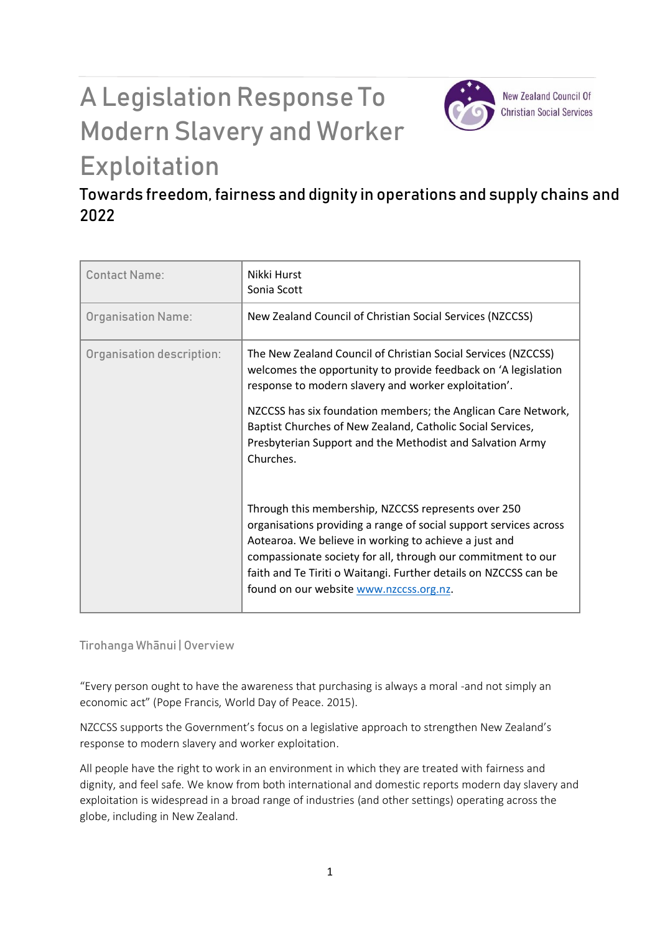# A Legislation Response To Modern Slavery and Worker Exploitation



**New Zealand Council Of Christian Social Services** 

## Towards freedom, fairness and dignity in operations and supply chains and 2022

| <b>Contact Name:</b>      | Nikki Hurst<br>Sonia Scott                                                                                                                                                                                                                                                                                                                                       |
|---------------------------|------------------------------------------------------------------------------------------------------------------------------------------------------------------------------------------------------------------------------------------------------------------------------------------------------------------------------------------------------------------|
| <b>Organisation Name:</b> | New Zealand Council of Christian Social Services (NZCCSS)                                                                                                                                                                                                                                                                                                        |
| Organisation description: | The New Zealand Council of Christian Social Services (NZCCSS)<br>welcomes the opportunity to provide feedback on 'A legislation<br>response to modern slavery and worker exploitation'.                                                                                                                                                                          |
|                           | NZCCSS has six foundation members; the Anglican Care Network,<br>Baptist Churches of New Zealand, Catholic Social Services,<br>Presbyterian Support and the Methodist and Salvation Army<br>Churches.                                                                                                                                                            |
|                           | Through this membership, NZCCSS represents over 250<br>organisations providing a range of social support services across<br>Aotearoa. We believe in working to achieve a just and<br>compassionate society for all, through our commitment to our<br>faith and Te Tiriti o Waitangi. Further details on NZCCSS can be<br>found on our website www.nzccss.org.nz. |

Tirohanga Whānui | Overview

"Every person ought to have the awareness that purchasing is always a moral -and not simply an economic act" (Pope Francis, World Day of Peace. 2015).

NZCCSS supports the Government's focus on a legislative approach to strengthen New Zealand's response to modern slavery and worker exploitation.

All people have the right to work in an environment in which they are treated with fairness and dignity, and feel safe. We know from both international and domestic reports modern day slavery and exploitation is widespread in a broad range of industries (and other settings) operating across the globe, including in New Zealand.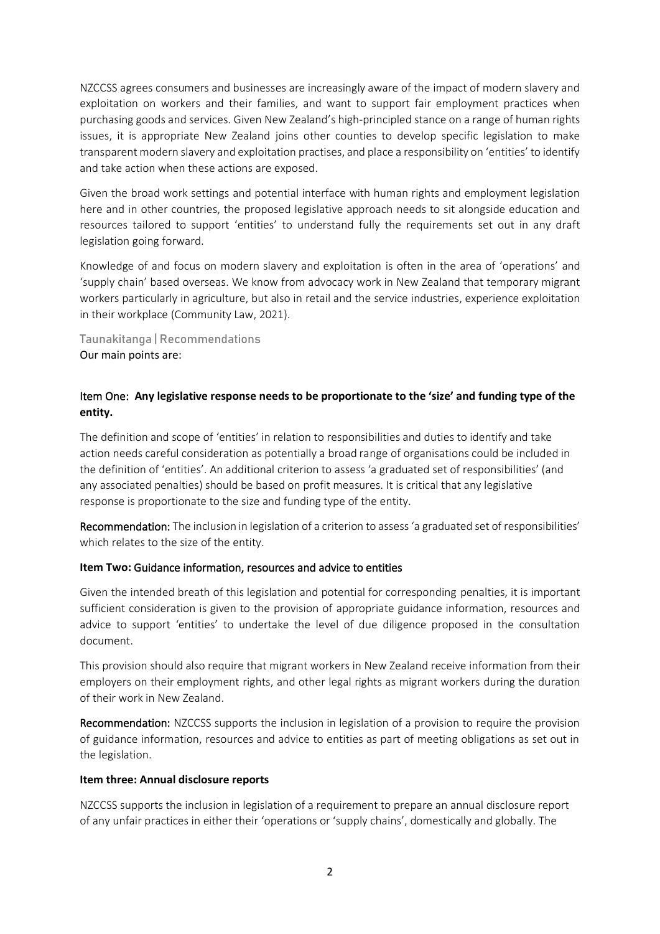NZCCSS agrees consumers and businesses are increasingly aware of the impact of modern slavery and exploitation on workers and their families, and want to support fair employment practices when purchasing goods and services. Given New Zealand's high-principled stance on a range of human rights issues, it is appropriate New Zealand joins other counties to develop specific legislation to make transparent modern slavery and exploitation practises, and place a responsibility on 'entities' to identify and take action when these actions are exposed.

Given the broad work settings and potential interface with human rights and employment legislation here and in other countries, the proposed legislative approach needs to sit alongside education and resources tailored to support 'entities' to understand fully the requirements set out in any draft legislation going forward.

Knowledge of and focus on modern slavery and exploitation is often in the area of 'operations' and 'supply chain' based overseas. We know from advocacy work in New Zealand that temporary migrant workers particularly in agriculture, but also in retail and the service industries, experience exploitation in their workplace (Community Law, 2021).

Taunakitanga | Recommendations Our main points are:

### Item One: **Any legislative response needs to be proportionate to the 'size' and funding type of the entity.**

The definition and scope of 'entities' in relation to responsibilities and duties to identify and take action needs careful consideration as potentially a broad range of organisations could be included in the definition of 'entities'. An additional criterion to assess 'a graduated set of responsibilities' (and any associated penalties) should be based on profit measures. It is critical that any legislative response is proportionate to the size and funding type of the entity.

Recommendation: The inclusion in legislation of a criterion to assess 'a graduated set of responsibilities' which relates to the size of the entity.

#### **Item Two:** Guidance information, resources and advice to entities

Given the intended breath of this legislation and potential for corresponding penalties, it is important sufficient consideration is given to the provision of appropriate guidance information, resources and advice to support 'entities' to undertake the level of due diligence proposed in the consultation document.

This provision should also require that migrant workers in New Zealand receive information from their employers on their employment rights, and other legal rights as migrant workers during the duration of their work in New Zealand.

Recommendation: NZCCSS supports the inclusion in legislation of a provision to require the provision of guidance information, resources and advice to entities as part of meeting obligations as set out in the legislation.

#### **Item three: Annual disclosure reports**

NZCCSS supports the inclusion in legislation of a requirement to prepare an annual disclosure report of any unfair practices in either their 'operations or 'supply chains', domestically and globally. The